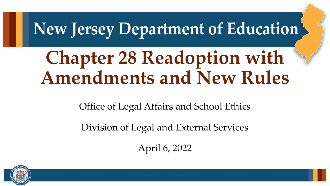## New Jersey Department of Education

## **Chapter 28 Readoption with Amendments and New Rules**

Office of Legal Affairs and School Ethics

Division of Legal and External Services

April 6, 2022

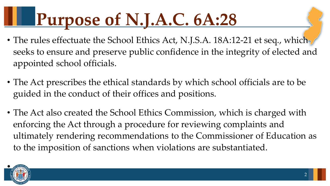# **Purpose of N.J.A.C. 6A:28**

- The rules effectuate the School Ethics Act, N.J.S.A. 18A:12-21 et seq., which seeks to ensure and preserve public confidence in the integrity of elected and appointed school officials.
- The Act prescribes the ethical standards by which school officials are to be guided in the conduct of their offices and positions.
- The Act also created the School Ethics Commission, which is charged with enforcing the Act through a procedure for reviewing complaints and ultimately rendering recommendations to the Commissioner of Education as to the imposition of sanctions when violations are substantiated.

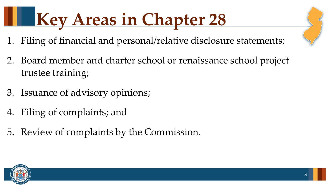# **Key Areas in Chapter 28**

- 1. Filing of financial and personal/relative disclosure statements;
- 2. Board member and charter school or renaissance school project trustee training;
- 3. Issuance of advisory opinions;
- 4. Filing of complaints; and
- 5. Review of complaints by the Commission.

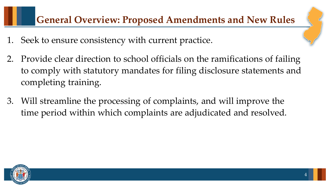#### **General Overview: Proposed Amendments and New Rules**

- 1. Seek to ensure consistency with current practice.
- 2. Provide clear direction to school officials on the ramifications of failing to comply with statutory mandates for filing disclosure statements and completing training.
- 3. Will streamline the processing of complaints, and will improve the time period within which complaints are adjudicated and resolved.

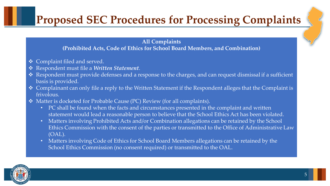### **Proposed SEC Procedures for Processing Complaints**

#### **All Complaints (Prohibited Acts, Code of Ethics for School Board Members, and Combination)**

- ◆ Complaint filed and served.
- Respondent must file a *Written Statement*.
- \* Respondent must provide defenses and a response to the charges, and can request dismissal if a sufficient basis is provided.
- ◆ Complainant can only file a reply to the Written Statement if the Respondent alleges that the Complaint is frivolous.
- Matter is docketed for Probable Cause (PC) Review (for all complaints).
	- PC shall be found when the facts and circumstances presented in the complaint and written statement would lead a reasonable person to believe that the School Ethics Act has been violated.
	- Matters involving Prohibited Acts and/or Combination allegations can be retained by the School Ethics Commission with the consent of the parties or transmitted to the Office of Administrative Law (OAL).
	- Matters involving Code of Ethics for School Board Members allegations can be retained by the School Ethics Commission (no consent required) or transmitted to the OAL.